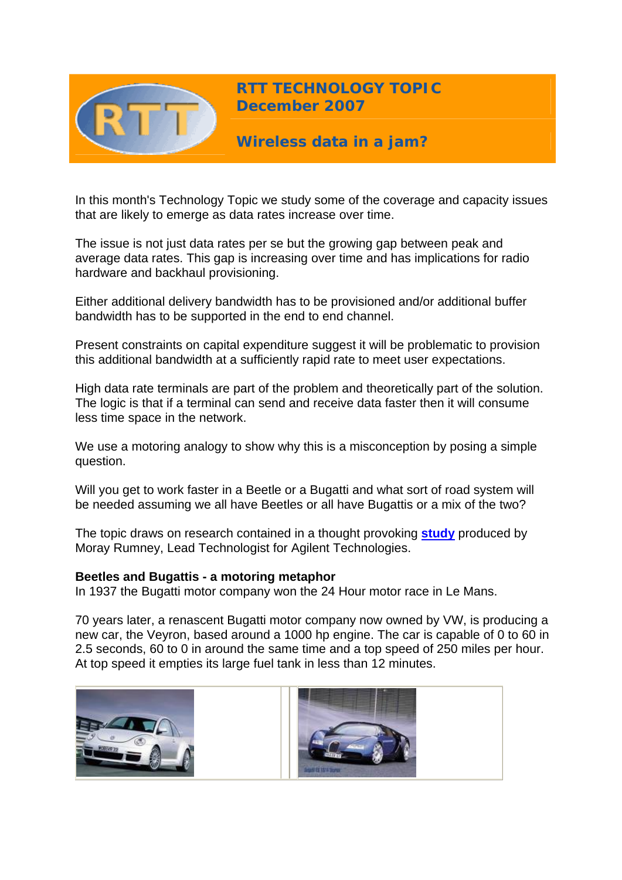

**RTT TECHNOLOGY TOPIC December 2007**

**Wireless data in a jam?** 

In this month's Technology Topic we study some of the coverage and capacity issues that are likely to emerge as data rates increase over time.

The issue is not just data rates per se but the growing gap between peak and average data rates. This gap is increasing over time and has implications for radio hardware and backhaul provisioning.

Either additional delivery bandwidth has to be provisioned and/or additional buffer bandwidth has to be supported in the end to end channel.

Present constraints on capital expenditure suggest it will be problematic to provision this additional bandwidth at a sufficiently rapid rate to meet user expectations.

High data rate terminals are part of the problem and theoretically part of the solution. The logic is that if a terminal can send and receive data faster then it will consume less time space in the network.

We use a motoring analogy to show why this is a misconception by posing a simple question.

Will you get to work faster in a Beetle or a Bugatti and what sort of road system will [be needed assuming w](http://www.rttonline.com/images/beetle.jpg)e all have Beetl[es or all have Bugattis o](http://www.rttonline.com/images/bugatti.jpg)r a mix of the two?

The topic draws on research contained in a thought provoking **[study](http://www.home.agilent.com/agilent/redirector.jspx?action=doc&lc=eng&cc=US&id=1296209<ype=External%20File%20)** produced by Moray Rumney, Lead Technologist for Agilent Technologies.

## **Beetles and Bugattis - a motoring metaphor**

In 1937 the Bugatti motor company won the 24 Hour motor race in Le Mans.

70 years later, a renascent Bugatti motor company now owned by VW, is producing a new car, the Veyron, based around a 1000 hp engine. The car is capable of 0 to 60 in 2.5 seconds, 60 to 0 in around the same time and a top speed of 250 miles per hour. At top speed it empties its large fuel tank in less than 12 minutes.



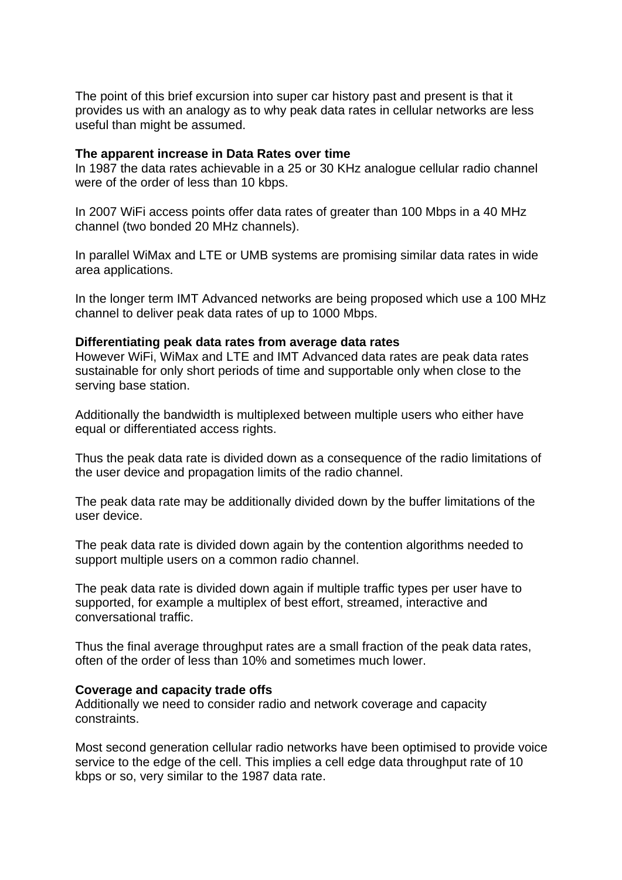The point of this brief excursion into super car history past and present is that it provides us with an analogy as to why peak data rates in cellular networks are less useful than might be assumed.

#### **The apparent increase in Data Rates over time**

In 1987 the data rates achievable in a 25 or 30 KHz analogue cellular radio channel were of the order of less than 10 kbps.

In 2007 WiFi access points offer data rates of greater than 100 Mbps in a 40 MHz channel (two bonded 20 MHz channels).

In parallel WiMax and LTE or UMB systems are promising similar data rates in wide area applications.

In the longer term IMT Advanced networks are being proposed which use a 100 MHz channel to deliver peak data rates of up to 1000 Mbps.

#### **Differentiating peak data rates from average data rates**

However WiFi, WiMax and LTE and IMT Advanced data rates are peak data rates sustainable for only short periods of time and supportable only when close to the serving base station.

Additionally the bandwidth is multiplexed between multiple users who either have equal or differentiated access rights.

Thus the peak data rate is divided down as a consequence of the radio limitations of the user device and propagation limits of the radio channel.

The peak data rate may be additionally divided down by the buffer limitations of the user device.

The peak data rate is divided down again by the contention algorithms needed to support multiple users on a common radio channel.

The peak data rate is divided down again if multiple traffic types per user have to supported, for example a multiplex of best effort, streamed, interactive and conversational traffic.

Thus the final average throughput rates are a small fraction of the peak data rates, often of the order of less than 10% and sometimes much lower.

#### **Coverage and capacity trade offs**

Additionally we need to consider radio and network coverage and capacity constraints.

Most second generation cellular radio networks have been optimised to provide voice service to the edge of the cell. This implies a cell edge data throughput rate of 10 kbps or so, very similar to the 1987 data rate.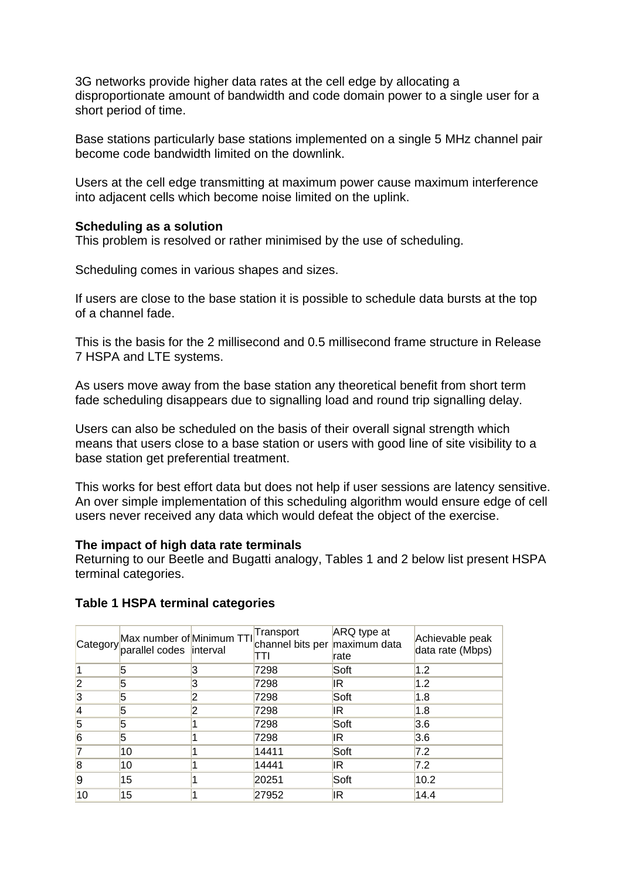3G networks provide higher data rates at the cell edge by allocating a disproportionate amount of bandwidth and code domain power to a single user for a short period of time.

Base stations particularly base stations implemented on a single 5 MHz channel pair become code bandwidth limited on the downlink.

Users at the cell edge transmitting at maximum power cause maximum interference into adjacent cells which become noise limited on the uplink.

# **Scheduling as a solution**

This problem is resolved or rather minimised by the use of scheduling.

Scheduling comes in various shapes and sizes.

If users are close to the base station it is possible to schedule data bursts at the top of a channel fade.

This is the basis for the 2 millisecond and 0.5 millisecond frame structure in Release 7 HSPA and LTE systems.

As users move away from the base station any theoretical benefit from short term fade scheduling disappears due to signalling load and round trip signalling delay.

Users can also be scheduled on the basis of their overall signal strength which means that users close to a base station or users with good line of site visibility to a base station get preferential treatment.

This works for best effort data but does not help if user sessions are latency sensitive. An over simple implementation of this scheduling algorithm would ensure edge of cell users never received any data which would defeat the object of the exercise.

## **The impact of high data rate terminals**

Returning to our Beetle and Bugatti analogy, Tables 1 and 2 below list present HSPA terminal categories.

|                         | Max number of Minimum TTI<br>Category parallel codes interval | Transport<br>channel bits per maximum data<br>ΓTΙ | ARQ type at<br>rate | Achievable peak<br>data rate (Mbps) |
|-------------------------|---------------------------------------------------------------|---------------------------------------------------|---------------------|-------------------------------------|
|                         | 5                                                             | 7298                                              | Soft                | 1.2                                 |
| $\overline{2}$          | 5                                                             | 7298                                              | IR.                 | 1.2                                 |
| 3                       | 5                                                             | 7298                                              | Soft                | 1.8                                 |
| 4                       | 5                                                             | 7298                                              | IR                  | 1.8                                 |
| 5                       | 5                                                             | 7298                                              | Soft                | 3.6                                 |
| 6                       | 5                                                             | 7298                                              | IR                  | 3.6                                 |
| 7                       | 10                                                            | 14411                                             | Soft                | 7.2                                 |
| $\overline{\mathbf{8}}$ | 10                                                            | 14441                                             | IR                  | 7.2                                 |
| $\overline{9}$          | 15                                                            | 20251                                             | Soft                | 10.2                                |
| 10                      | 15                                                            | 27952                                             | ΙR                  | 14.4                                |

## **Table 1 HSPA terminal categories**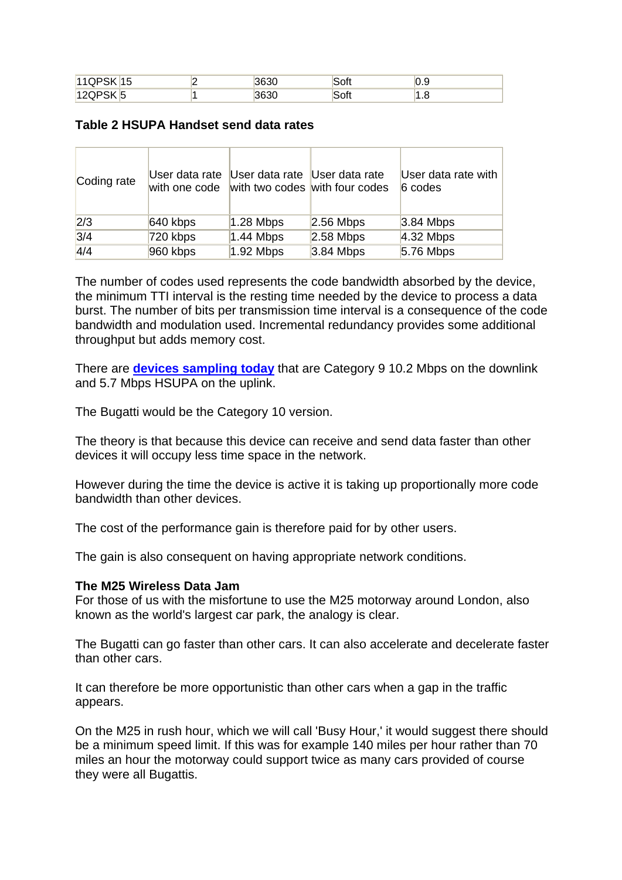| $111$ $\bigcap$ $\bigcap$ $\bigcup$ $\bigcap$ $\bigcap$ $\bigcap$ $\bigcap$ $\bigcap$ $\bigcap$ $\bigcap$ $\bigcap$ $\bigcap$ $\bigcap$ $\bigcap$ $\bigcap$ $\bigcap$ $\bigcap$ $\bigcap$ $\bigcap$ $\bigcap$ $\bigcap$ $\bigcap$ $\bigcap$ $\bigcap$ $\bigcap$ $\bigcap$ $\bigcap$ $\bigcap$ $\bigcap$ $\bigcap$ $\bigcap$ $\bigcap$ $\bigcap$ $\bigcap$ $\bigcap$ $\bigcap$<br>11 L<br>∟ו<br>ں ا<br>w | 3630 | Soft | ◡<br>เบ.ฮ |
|---------------------------------------------------------------------------------------------------------------------------------------------------------------------------------------------------------------------------------------------------------------------------------------------------------------------------------------------------------------------------------------------------------|------|------|-----------|
| 1200RK<br>$-1$<br>----                                                                                                                                                                                                                                                                                                                                                                                  | 3630 | Soft | ن. ا      |

# **Table 2 HSUPA Handset send data rates**

| Coding rate | User data rate<br>with one code | User data rate User data rate | with two codes with four codes | User data rate with<br>6 codes |
|-------------|---------------------------------|-------------------------------|--------------------------------|--------------------------------|
| 2/3         | $640$ kbps                      | $1.28$ Mbps                   | $2.56$ Mbps                    | $3.84$ Mbps                    |
| 3/4         | 720 kbps                        | $1.44$ Mbps                   | $2.58$ Mbps                    | $4.32$ Mbps                    |
| 4/4         | 960 kbps                        | $1.92$ Mbps                   | $3.84$ Mbps                    | $5.76$ Mbps                    |

The number of codes used represents the code bandwidth absorbed by the device, the minimum TTI interval is the resting time needed by the device to process a data burst. The number of bits per transmission time interval is a consequence of the code bandwidth and modulation used. Incremental redundancy provides some additional throughput but adds memory cost.

There are **[devices sampling today](http://www.qualcomm.com/press/releases/2007/071113_Qualcomm_Introduces_Single_Chip.html)** that are Category 9 10.2 Mbps on the downlink and 5.7 Mbps HSUPA on the uplink.

The Bugatti would be the Category 10 version.

The theory is that because this device can receive and send data faster than other devices it will occupy less time space in the network.

However during the time the device is active it is taking up proportionally more code bandwidth than other devices.

The cost of the performance gain is therefore paid for by other users.

The gain is also consequent on having appropriate network conditions.

## **The M25 Wireless Data Jam**

For those of us with the misfortune to use the M25 motorway around London, also known as the world's largest car park, the analogy is clear.

The Bugatti can go faster than other cars. It can also accelerate and decelerate faster than other cars.

It can therefore be more opportunistic than other cars when a gap in the traffic appears.

On the M25 in rush hour, which we will call 'Busy Hour,' it would suggest there should be a minimum speed limit. If this was for example 140 miles per hour rather than 70 miles an hour the motorway could support twice as many cars provided of course they were all Bugattis.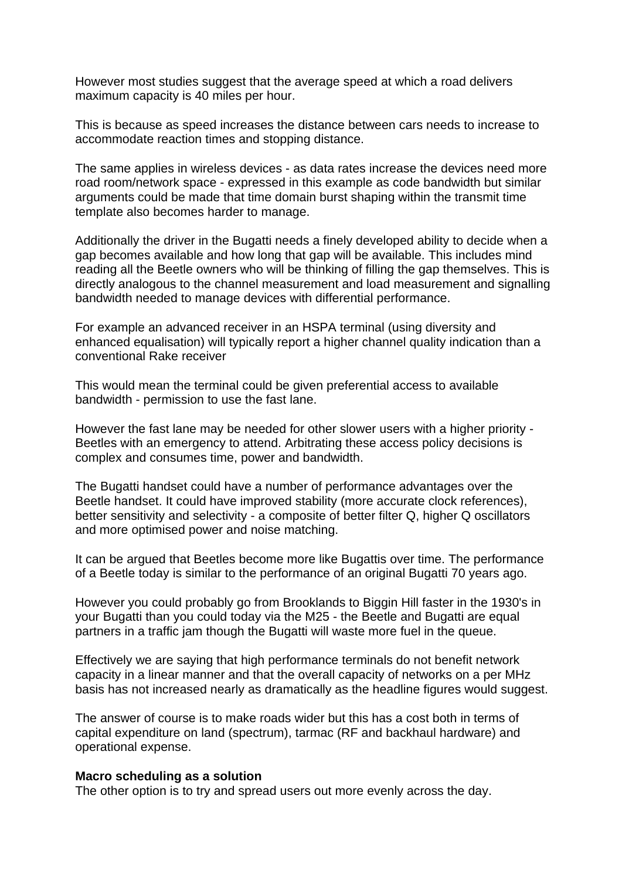However most studies suggest that the average speed at which a road delivers maximum capacity is 40 miles per hour.

This is because as speed increases the distance between cars needs to increase to accommodate reaction times and stopping distance.

The same applies in wireless devices - as data rates increase the devices need more road room/network space - expressed in this example as code bandwidth but similar arguments could be made that time domain burst shaping within the transmit time template also becomes harder to manage.

Additionally the driver in the Bugatti needs a finely developed ability to decide when a gap becomes available and how long that gap will be available. This includes mind reading all the Beetle owners who will be thinking of filling the gap themselves. This is directly analogous to the channel measurement and load measurement and signalling bandwidth needed to manage devices with differential performance.

For example an advanced receiver in an HSPA terminal (using diversity and enhanced equalisation) will typically report a higher channel quality indication than a conventional Rake receiver

This would mean the terminal could be given preferential access to available bandwidth - permission to use the fast lane.

However the fast lane may be needed for other slower users with a higher priority - Beetles with an emergency to attend. Arbitrating these access policy decisions is complex and consumes time, power and bandwidth.

The Bugatti handset could have a number of performance advantages over the Beetle handset. It could have improved stability (more accurate clock references), better sensitivity and selectivity - a composite of better filter Q, higher Q oscillators and more optimised power and noise matching.

It can be argued that Beetles become more like Bugattis over time. The performance of a Beetle today is similar to the performance of an original Bugatti 70 years ago.

However you could probably go from Brooklands to Biggin Hill faster in the 1930's in your Bugatti than you could today via the M25 - the Beetle and Bugatti are equal partners in a traffic jam though the Bugatti will waste more fuel in the queue.

Effectively we are saying that high performance terminals do not benefit network capacity in a linear manner and that the overall capacity of networks on a per MHz basis has not increased nearly as dramatically as the headline figures would suggest.

The answer of course is to make roads wider but this has a cost both in terms of capital expenditure on land (spectrum), tarmac (RF and backhaul hardware) and operational expense.

#### **Macro scheduling as a solution**

The other option is to try and spread users out more evenly across the day.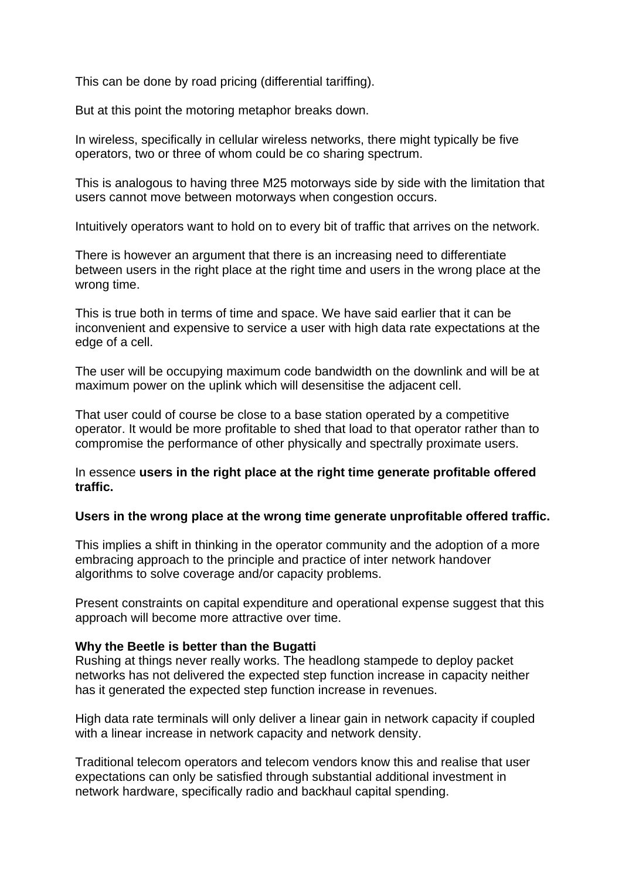This can be done by road pricing (differential tariffing).

But at this point the motoring metaphor breaks down.

In wireless, specifically in cellular wireless networks, there might typically be five operators, two or three of whom could be co sharing spectrum.

This is analogous to having three M25 motorways side by side with the limitation that users cannot move between motorways when congestion occurs.

Intuitively operators want to hold on to every bit of traffic that arrives on the network.

There is however an argument that there is an increasing need to differentiate between users in the right place at the right time and users in the wrong place at the wrong time.

This is true both in terms of time and space. We have said earlier that it can be inconvenient and expensive to service a user with high data rate expectations at the edge of a cell.

The user will be occupying maximum code bandwidth on the downlink and will be at maximum power on the uplink which will desensitise the adjacent cell.

That user could of course be close to a base station operated by a competitive operator. It would be more profitable to shed that load to that operator rather than to compromise the performance of other physically and spectrally proximate users.

# In essence **users in the right place at the right time generate profitable offered traffic.**

# **Users in the wrong place at the wrong time generate unprofitable offered traffic.**

This implies a shift in thinking in the operator community and the adoption of a more embracing approach to the principle and practice of inter network handover algorithms to solve coverage and/or capacity problems.

Present constraints on capital expenditure and operational expense suggest that this approach will become more attractive over time.

# **Why the Beetle is better than the Bugatti**

Rushing at things never really works. The headlong stampede to deploy packet networks has not delivered the expected step function increase in capacity neither has it generated the expected step function increase in revenues.

High data rate terminals will only deliver a linear gain in network capacity if coupled with a linear increase in network capacity and network density.

Traditional telecom operators and telecom vendors know this and realise that user expectations can only be satisfied through substantial additional investment in network hardware, specifically radio and backhaul capital spending.